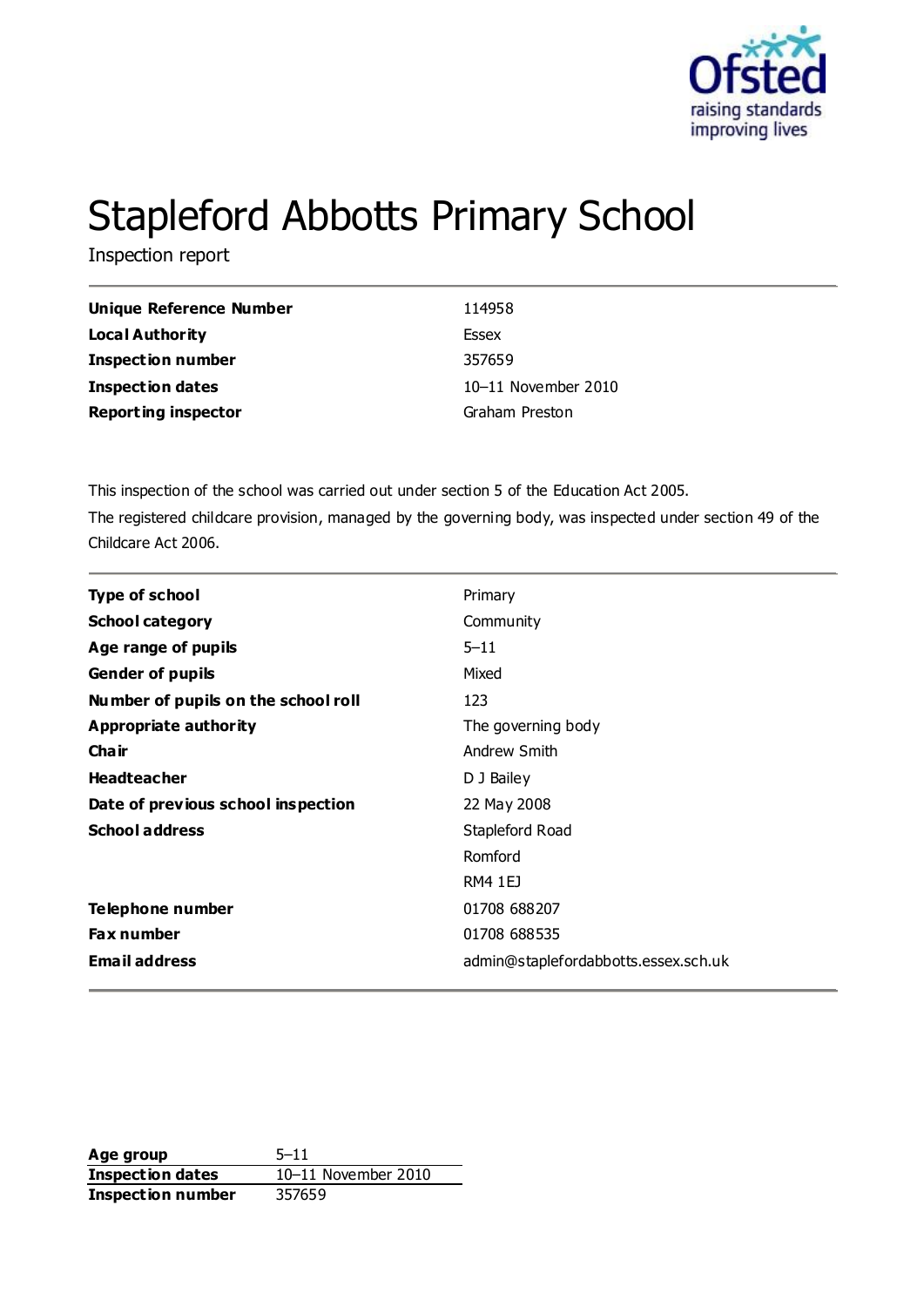

# Stapleford Abbotts Primary School

Inspection report

| Unique Reference Number    | 114958              |
|----------------------------|---------------------|
| Local Authority            | Essex               |
| Inspection number          | 357659              |
| Inspection dates           | 10-11 November 2010 |
| <b>Reporting inspector</b> | Graham Preston      |

This inspection of the school was carried out under section 5 of the Education Act 2005. The registered childcare provision, managed by the governing body, was inspected under section 49 of the Childcare Act 2006.

| <b>Type of school</b>               | Primary                              |
|-------------------------------------|--------------------------------------|
| <b>School category</b>              | Community                            |
| Age range of pupils                 | $5 - 11$                             |
| <b>Gender of pupils</b>             | Mixed                                |
| Number of pupils on the school roll | 123                                  |
| <b>Appropriate authority</b>        | The governing body                   |
| Cha ir                              | Andrew Smith                         |
| <b>Headteacher</b>                  | D J Bailey                           |
| Date of previous school inspection  | 22 May 2008                          |
| <b>School address</b>               | Stapleford Road                      |
|                                     | Romford                              |
|                                     | RM4 1EJ                              |
| Telephone number                    | 01708 688207                         |
| <b>Fax number</b>                   | 01708 688535                         |
| <b>Email address</b>                | admin@staplefordabbotts.essex.sch.uk |

**Age group** 5–11 **Inspection dates** 10–11 November 2010 **Inspection number** 357659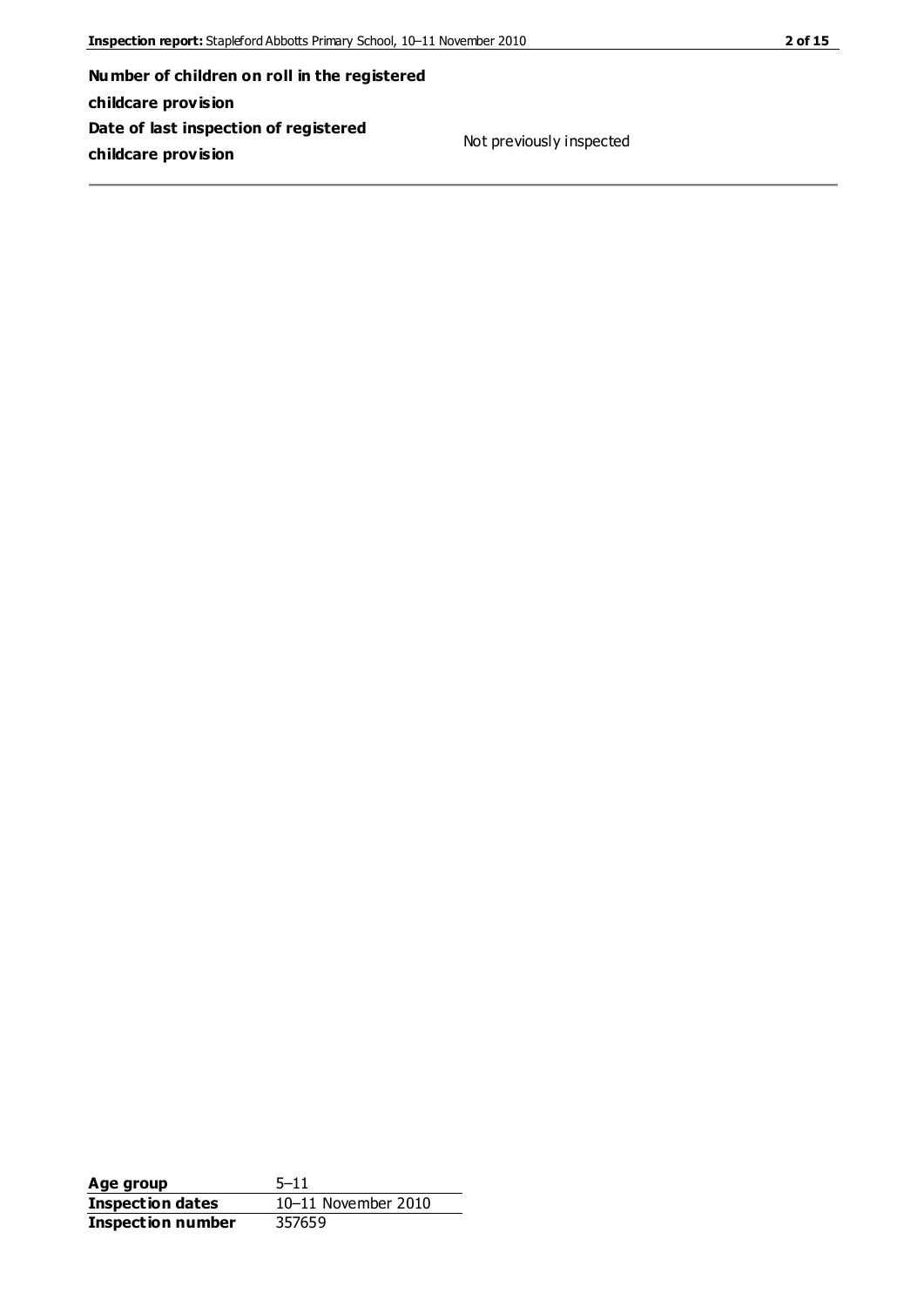**Number of children on roll in the registered childcare provision Date of last inspection of registered childcare provision**

Not previously inspected

Age group 5–11 **Inspection dates** 10–11 November 2010<br>**Inspection number** 357659 **Inspection number**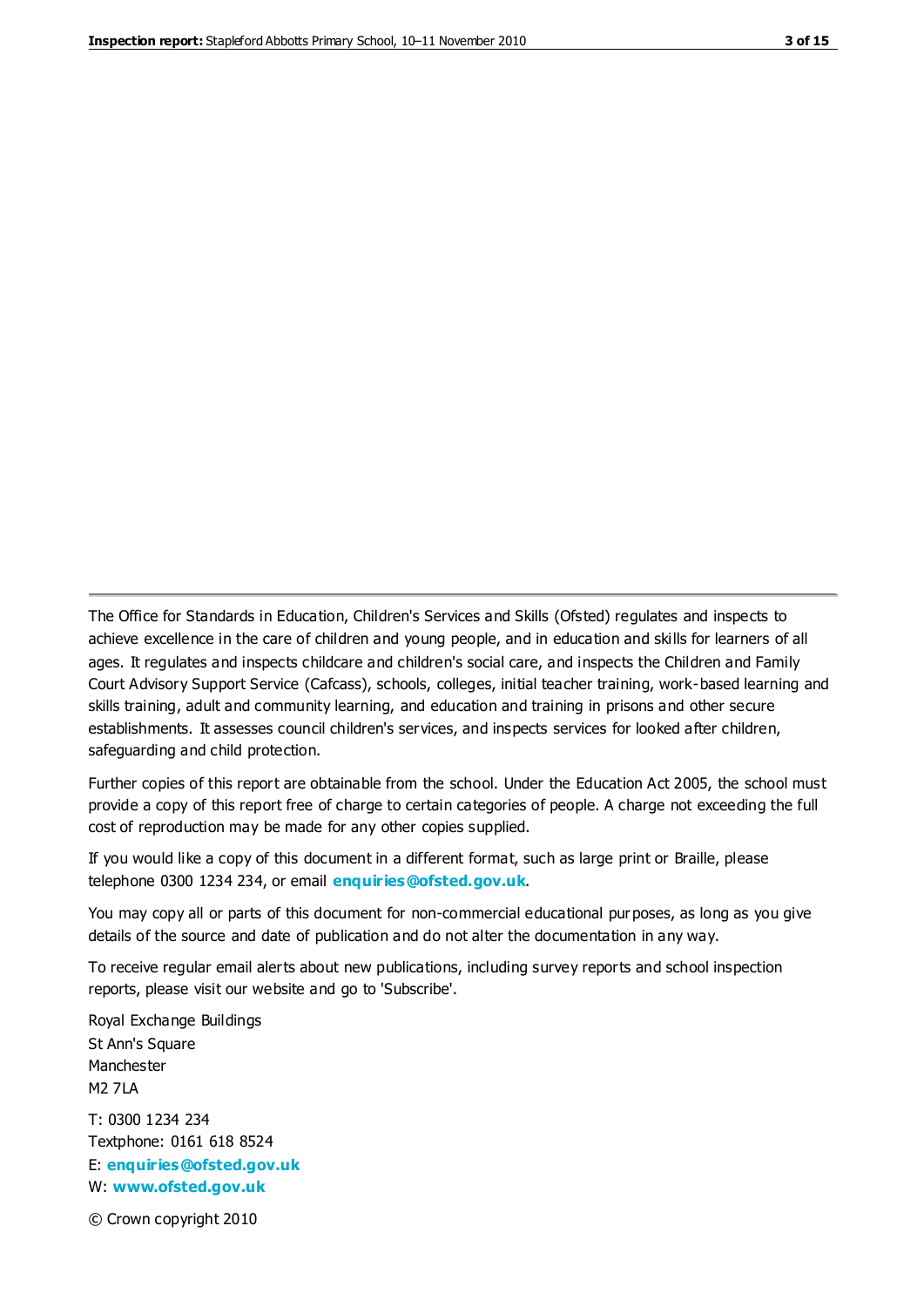The Office for Standards in Education, Children's Services and Skills (Ofsted) regulates and inspects to achieve excellence in the care of children and young people, and in education and skills for learners of all ages. It regulates and inspects childcare and children's social care, and inspects the Children and Family Court Advisory Support Service (Cafcass), schools, colleges, initial teacher training, work-based learning and skills training, adult and community learning, and education and training in prisons and other secure establishments. It assesses council children's services, and inspects services for looked after children, safeguarding and child protection.

Further copies of this report are obtainable from the school. Under the Education Act 2005, the school must provide a copy of this report free of charge to certain categories of people. A charge not exceeding the full cost of reproduction may be made for any other copies supplied.

If you would like a copy of this document in a different format, such as large print or Braille, please telephone 0300 1234 234, or email **[enquiries@ofsted.gov.uk](mailto:enquiries@ofsted.gov.uk)**.

You may copy all or parts of this document for non-commercial educational purposes, as long as you give details of the source and date of publication and do not alter the documentation in any way.

To receive regular email alerts about new publications, including survey reports and school inspection reports, please visit our website and go to 'Subscribe'.

Royal Exchange Buildings St Ann's Square Manchester M2 7LA T: 0300 1234 234 Textphone: 0161 618 8524 E: **[enquiries@ofsted.gov.uk](mailto:enquiries@ofsted.gov.uk)**

W: **[www.ofsted.gov.uk](http://www.ofsted.gov.uk/)**

© Crown copyright 2010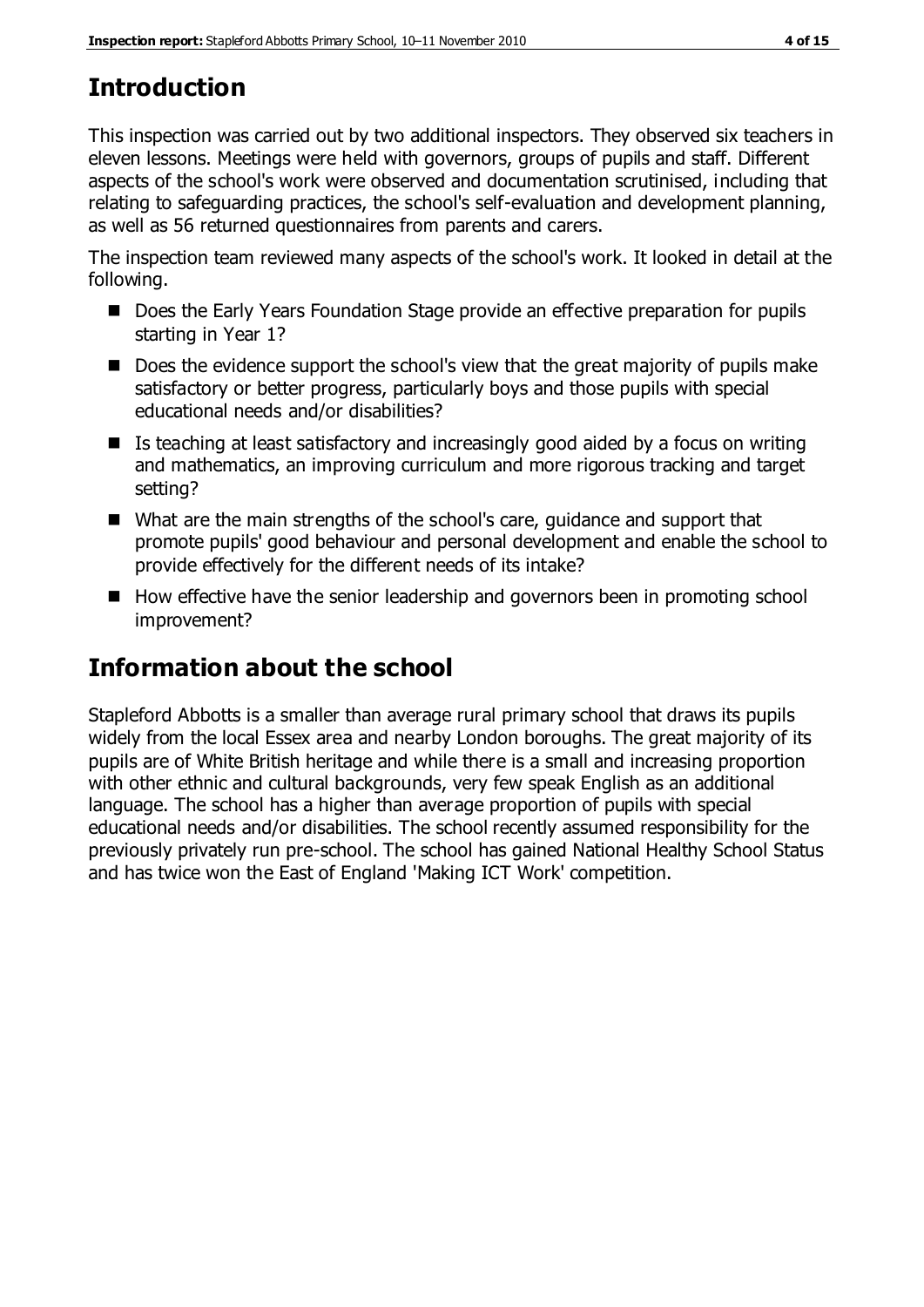# **Introduction**

This inspection was carried out by two additional inspectors. They observed six teachers in eleven lessons. Meetings were held with governors, groups of pupils and staff. Different aspects of the school's work were observed and documentation scrutinised, including that relating to safeguarding practices, the school's self-evaluation and development planning, as well as 56 returned questionnaires from parents and carers.

The inspection team reviewed many aspects of the school's work. It looked in detail at the following.

- Does the Early Years Foundation Stage provide an effective preparation for pupils starting in Year 1?
- $\blacksquare$  Does the evidence support the school's view that the great majority of pupils make satisfactory or better progress, particularly boys and those pupils with special educational needs and/or disabilities?
- $\blacksquare$  Is teaching at least satisfactory and increasingly good aided by a focus on writing and mathematics, an improving curriculum and more rigorous tracking and target setting?
- What are the main strengths of the school's care, guidance and support that promote pupils' good behaviour and personal development and enable the school to provide effectively for the different needs of its intake?
- $\blacksquare$  How effective have the senior leadership and governors been in promoting school improvement?

# **Information about the school**

Stapleford Abbotts is a smaller than average rural primary school that draws its pupils widely from the local Essex area and nearby London boroughs. The great majority of its pupils are of White British heritage and while there is a small and increasing proportion with other ethnic and cultural backgrounds, very few speak English as an additional language. The school has a higher than average proportion of pupils with special educational needs and/or disabilities. The school recently assumed responsibility for the previously privately run pre-school. The school has gained National Healthy School Status and has twice won the East of England 'Making ICT Work' competition.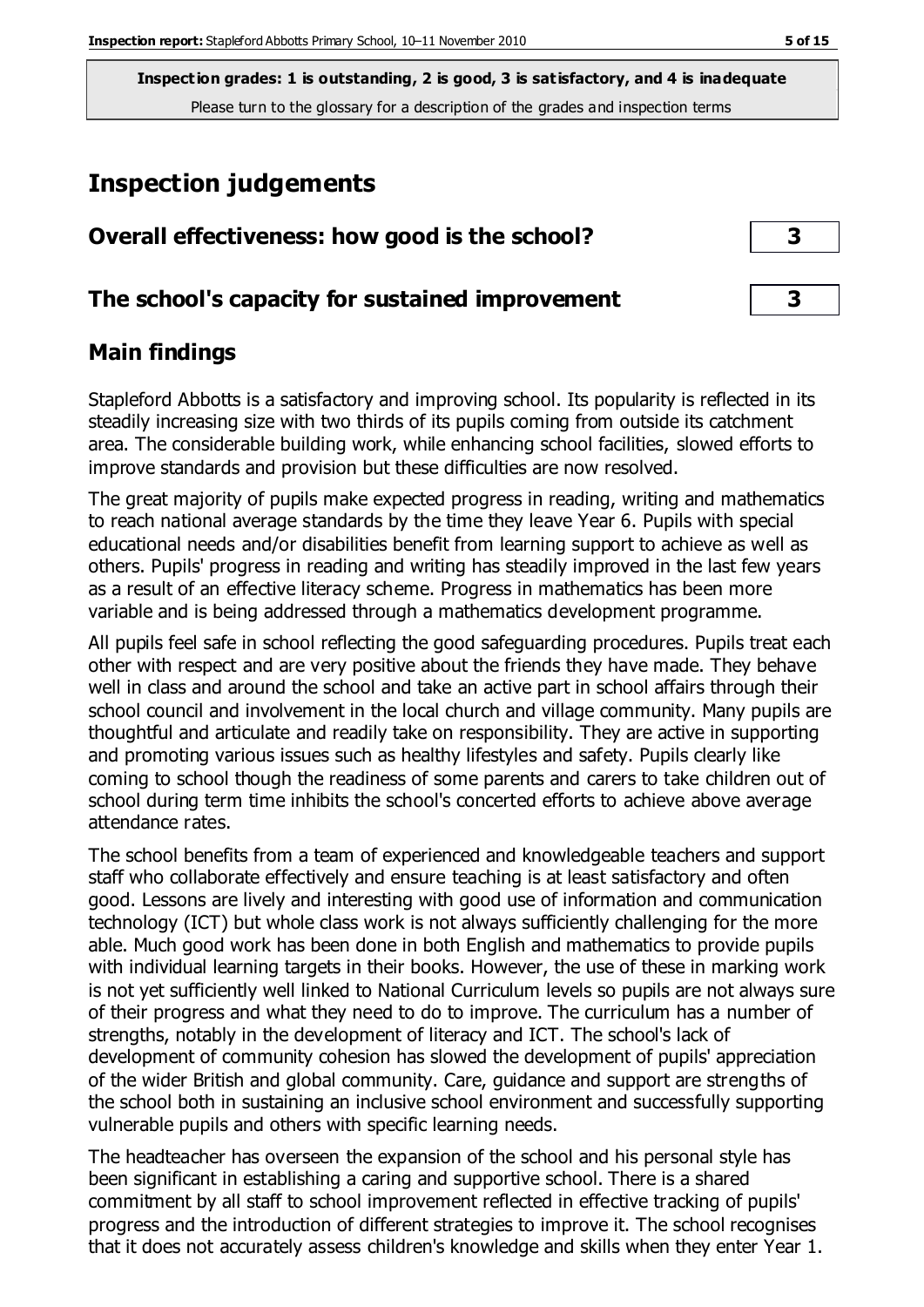**Inspection grades: 1 is outstanding, 2 is good, 3 is satisfactory, and 4 is inadequate** Please turn to the glossary for a description of the grades and inspection terms

# **Inspection judgements**

| Overall effectiveness: how good is the school?  |  |
|-------------------------------------------------|--|
| The school's capacity for sustained improvement |  |

#### **Main findings**

Stapleford Abbotts is a satisfactory and improving school. Its popularity is reflected in its steadily increasing size with two thirds of its pupils coming from outside its catchment area. The considerable building work, while enhancing school facilities, slowed efforts to improve standards and provision but these difficulties are now resolved.

The great majority of pupils make expected progress in reading, writing and mathematics to reach national average standards by the time they leave Year 6. Pupils with special educational needs and/or disabilities benefit from learning support to achieve as well as others. Pupils' progress in reading and writing has steadily improved in the last few years as a result of an effective literacy scheme. Progress in mathematics has been more variable and is being addressed through a mathematics development programme.

All pupils feel safe in school reflecting the good safeguarding procedures. Pupils treat each other with respect and are very positive about the friends they have made. They behave well in class and around the school and take an active part in school affairs through their school council and involvement in the local church and village community. Many pupils are thoughtful and articulate and readily take on responsibility. They are active in supporting and promoting various issues such as healthy lifestyles and safety. Pupils clearly like coming to school though the readiness of some parents and carers to take children out of school during term time inhibits the school's concerted efforts to achieve above average attendance rates.

The school benefits from a team of experienced and knowledgeable teachers and support staff who collaborate effectively and ensure teaching is at least satisfactory and often good. Lessons are lively and interesting with good use of information and communication technology (ICT) but whole class work is not always sufficiently challenging for the more able. Much good work has been done in both English and mathematics to provide pupils with individual learning targets in their books. However, the use of these in marking work is not yet sufficiently well linked to National Curriculum levels so pupils are not always sure of their progress and what they need to do to improve. The curriculum has a number of strengths, notably in the development of literacy and ICT. The school's lack of development of community cohesion has slowed the development of pupils' appreciation of the wider British and global community. Care, guidance and support are strengths of the school both in sustaining an inclusive school environment and successfully supporting vulnerable pupils and others with specific learning needs.

The headteacher has overseen the expansion of the school and his personal style has been significant in establishing a caring and supportive school. There is a shared commitment by all staff to school improvement reflected in effective tracking of pupils' progress and the introduction of different strategies to improve it. The school recognises that it does not accurately assess children's knowledge and skills when they enter Year 1.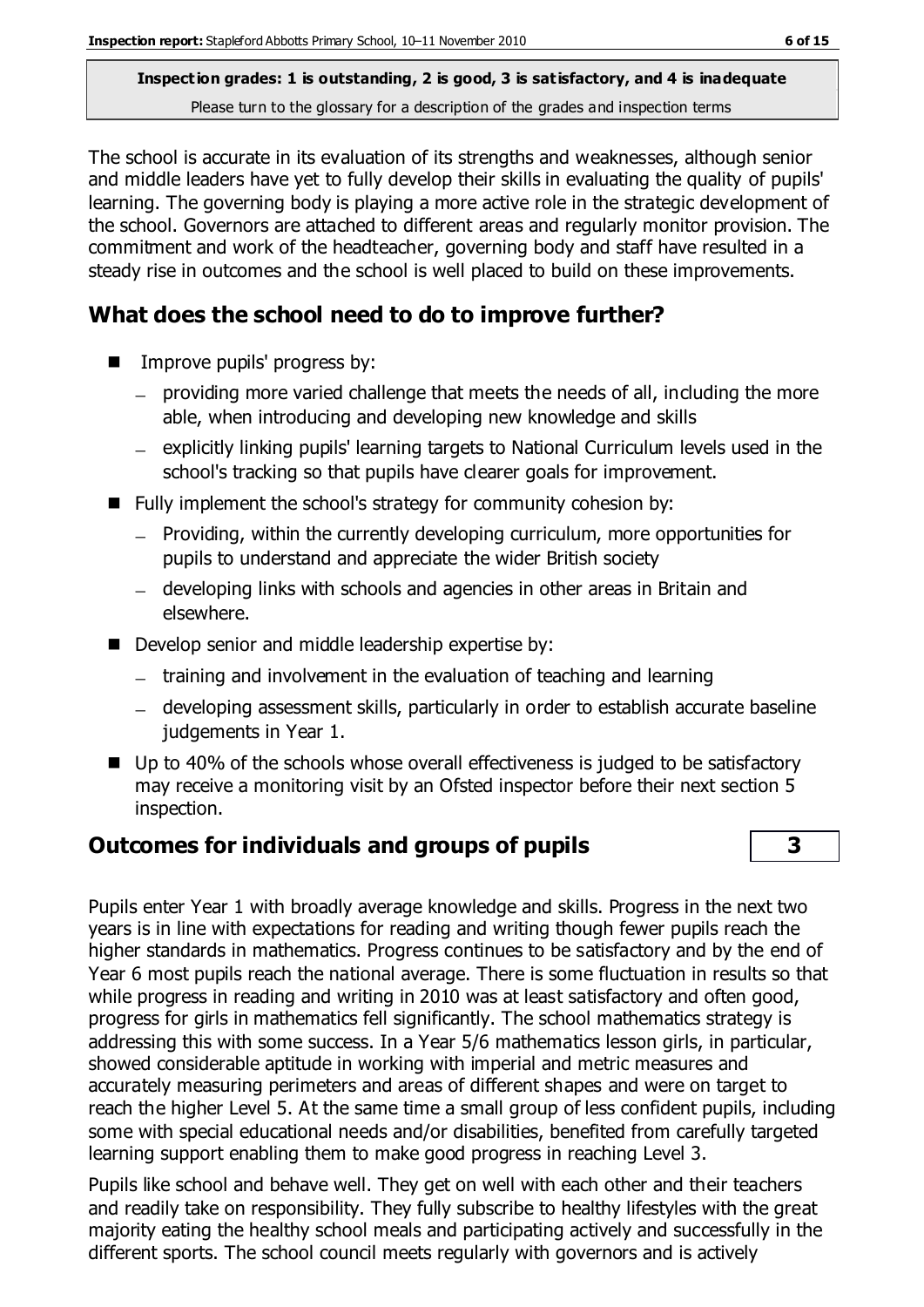**Inspection grades: 1 is outstanding, 2 is good, 3 is satisfactory, and 4 is inadequate** Please turn to the glossary for a description of the grades and inspection terms

The school is accurate in its evaluation of its strengths and weaknesses, although senior and middle leaders have yet to fully develop their skills in evaluating the quality of pupils' learning. The governing body is playing a more active role in the strategic development of the school. Governors are attached to different areas and regularly monitor provision. The commitment and work of the headteacher, governing body and staff have resulted in a steady rise in outcomes and the school is well placed to build on these improvements.

#### **What does the school need to do to improve further?**

- **IMPROVE pupils' progress by:** 
	- providing more varied challenge that meets the needs of all, including the more able, when introducing and developing new knowledge and skills
	- explicitly linking pupils' learning targets to National Curriculum levels used in the school's tracking so that pupils have clearer goals for improvement.
- Fully implement the school's strategy for community cohesion by:
	- Providing, within the currently developing curriculum, more opportunities for pupils to understand and appreciate the wider British society
	- developing links with schools and agencies in other areas in Britain and elsewhere.
- Develop senior and middle leadership expertise by:
	- $-$  training and involvement in the evaluation of teaching and learning
	- developing assessment skills, particularly in order to establish accurate baseline judgements in Year 1.
- Up to 40% of the schools whose overall effectiveness is judged to be satisfactory may receive a monitoring visit by an Ofsted inspector before their next section 5 inspection.

#### **Outcomes for individuals and groups of pupils 3**

Pupils enter Year 1 with broadly average knowledge and skills. Progress in the next two years is in line with expectations for reading and writing though fewer pupils reach the higher standards in mathematics. Progress continues to be satisfactory and by the end of Year 6 most pupils reach the national average. There is some fluctuation in results so that while progress in reading and writing in 2010 was at least satisfactory and often good, progress for girls in mathematics fell significantly. The school mathematics strategy is addressing this with some success. In a Year 5/6 mathematics lesson girls, in particular, showed considerable aptitude in working with imperial and metric measures and accurately measuring perimeters and areas of different shapes and were on target to reach the higher Level 5. At the same time a small group of less confident pupils, including some with special educational needs and/or disabilities, benefited from carefully targeted learning support enabling them to make good progress in reaching Level 3.

Pupils like school and behave well. They get on well with each other and their teachers and readily take on responsibility. They fully subscribe to healthy lifestyles with the great majority eating the healthy school meals and participating actively and successfully in the different sports. The school council meets regularly with governors and is actively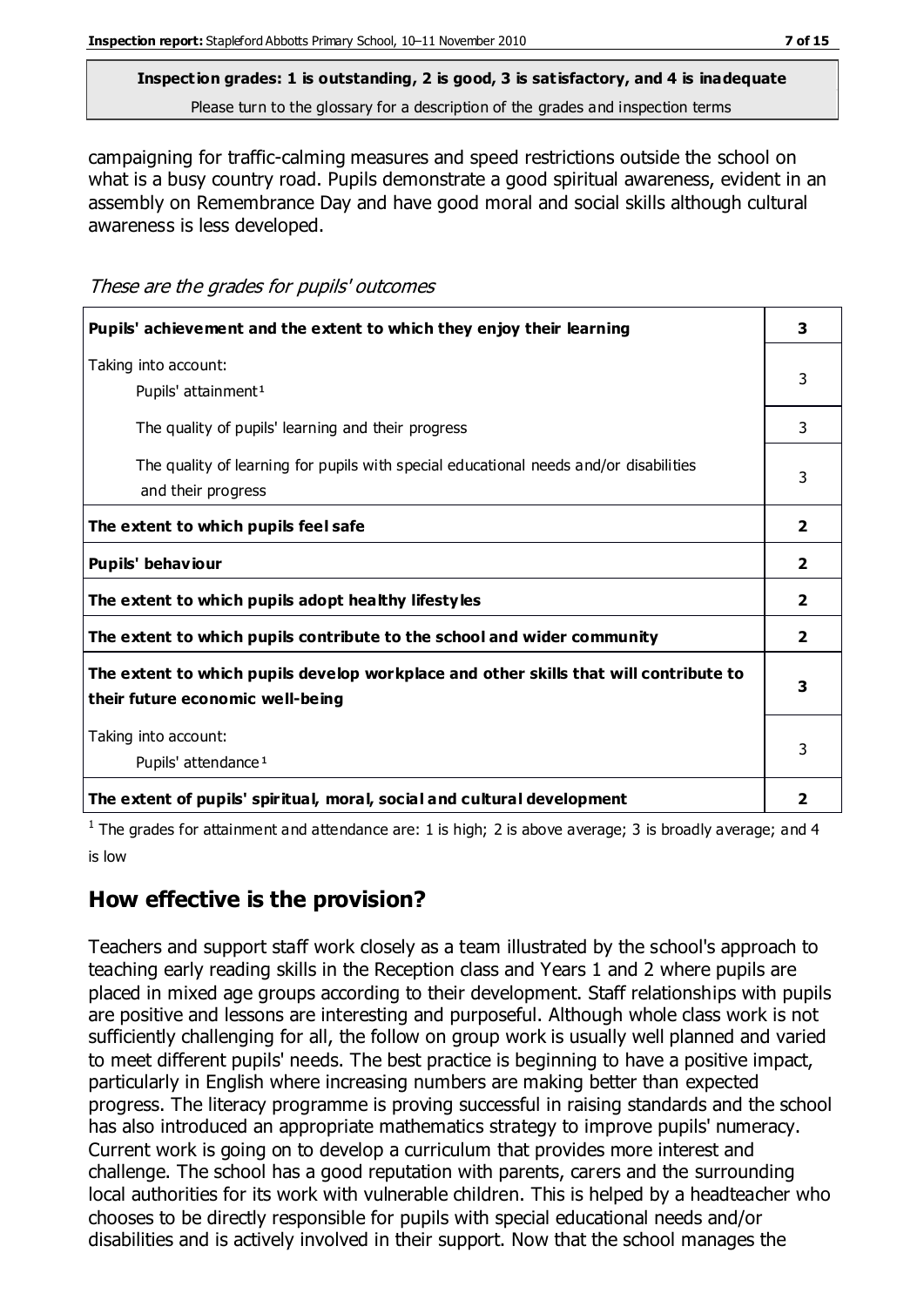Please turn to the glossary for a description of the grades and inspection terms

campaigning for traffic-calming measures and speed restrictions outside the school on what is a busy country road. Pupils demonstrate a good spiritual awareness, evident in an assembly on Remembrance Day and have good moral and social skills although cultural awareness is less developed.

These are the grades for pupils' outcomes

| Pupils' achievement and the extent to which they enjoy their learning                                                     | 3              |
|---------------------------------------------------------------------------------------------------------------------------|----------------|
| Taking into account:<br>Pupils' attainment <sup>1</sup>                                                                   | 3              |
| The quality of pupils' learning and their progress                                                                        | 3              |
| The quality of learning for pupils with special educational needs and/or disabilities<br>and their progress               | 3              |
| The extent to which pupils feel safe                                                                                      | $\overline{2}$ |
| Pupils' behaviour                                                                                                         | 2              |
| The extent to which pupils adopt healthy lifestyles                                                                       | $\overline{2}$ |
| The extent to which pupils contribute to the school and wider community                                                   | $\overline{2}$ |
| The extent to which pupils develop workplace and other skills that will contribute to<br>their future economic well-being | 3              |
| Taking into account:<br>Pupils' attendance <sup>1</sup>                                                                   |                |
| The extent of pupils' spiritual, moral, social and cultural development                                                   | 2              |

<sup>1</sup> The grades for attainment and attendance are: 1 is high; 2 is above average; 3 is broadly average; and 4 is low

#### **How effective is the provision?**

Teachers and support staff work closely as a team illustrated by the school's approach to teaching early reading skills in the Reception class and Years 1 and 2 where pupils are placed in mixed age groups according to their development. Staff relationships with pupils are positive and lessons are interesting and purposeful. Although whole class work is not sufficiently challenging for all, the follow on group work is usually well planned and varied to meet different pupils' needs. The best practice is beginning to have a positive impact, particularly in English where increasing numbers are making better than expected progress. The literacy programme is proving successful in raising standards and the school has also introduced an appropriate mathematics strategy to improve pupils' numeracy. Current work is going on to develop a curriculum that provides more interest and challenge. The school has a good reputation with parents, carers and the surrounding local authorities for its work with vulnerable children. This is helped by a headteacher who chooses to be directly responsible for pupils with special educational needs and/or disabilities and is actively involved in their support. Now that the school manages the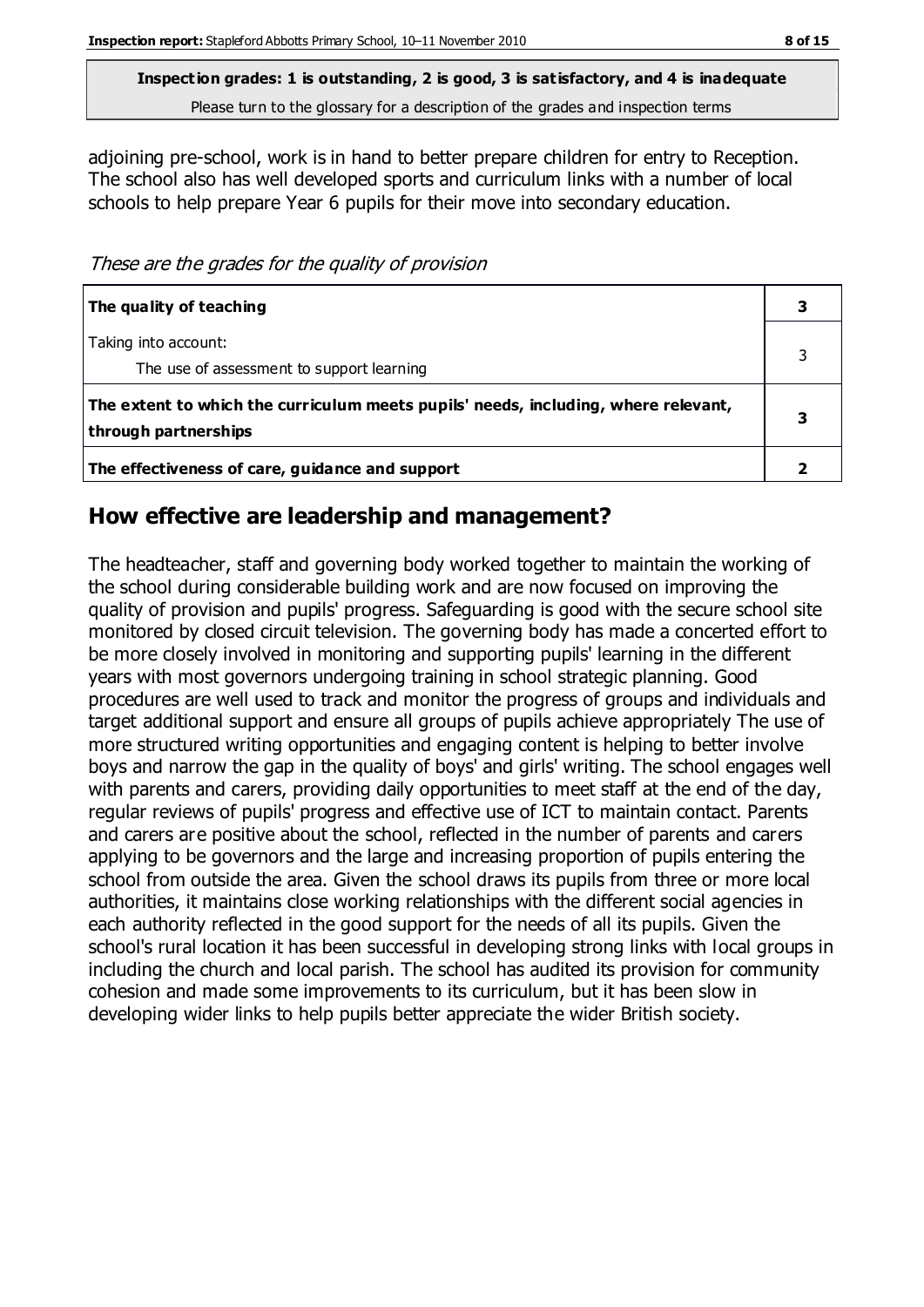Please turn to the glossary for a description of the grades and inspection terms

adjoining pre-school, work is in hand to better prepare children for entry to Reception. The school also has well developed sports and curriculum links with a number of local schools to help prepare Year 6 pupils for their move into secondary education.

These are the grades for the quality of provision

| The quality of teaching                                                                                    |   |
|------------------------------------------------------------------------------------------------------------|---|
| Taking into account:<br>The use of assessment to support learning                                          | 3 |
| The extent to which the curriculum meets pupils' needs, including, where relevant,<br>through partnerships | З |
| The effectiveness of care, guidance and support                                                            |   |

#### **How effective are leadership and management?**

The headteacher, staff and governing body worked together to maintain the working of the school during considerable building work and are now focused on improving the quality of provision and pupils' progress. Safeguarding is good with the secure school site monitored by closed circuit television. The governing body has made a concerted effort to be more closely involved in monitoring and supporting pupils' learning in the different years with most governors undergoing training in school strategic planning. Good procedures are well used to track and monitor the progress of groups and individuals and target additional support and ensure all groups of pupils achieve appropriately The use of more structured writing opportunities and engaging content is helping to better involve boys and narrow the gap in the quality of boys' and girls' writing. The school engages well with parents and carers, providing daily opportunities to meet staff at the end of the day, regular reviews of pupils' progress and effective use of ICT to maintain contact. Parents and carers are positive about the school, reflected in the number of parents and carers applying to be governors and the large and increasing proportion of pupils entering the school from outside the area. Given the school draws its pupils from three or more local authorities, it maintains close working relationships with the different social agencies in each authority reflected in the good support for the needs of all its pupils. Given the school's rural location it has been successful in developing strong links with local groups in including the church and local parish. The school has audited its provision for community cohesion and made some improvements to its curriculum, but it has been slow in developing wider links to help pupils better appreciate the wider British society.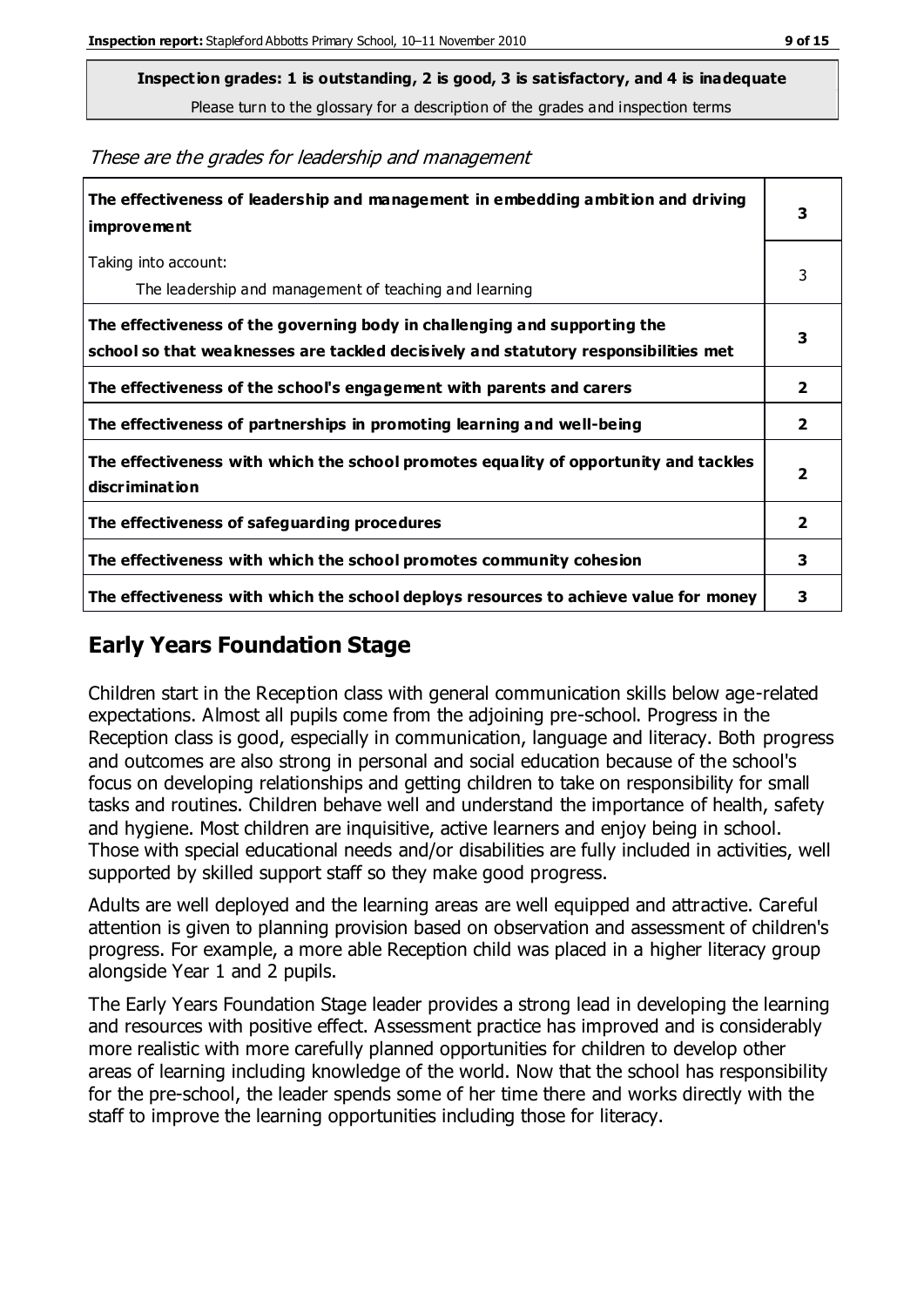Please turn to the glossary for a description of the grades and inspection terms

These are the grades for leadership and management

| The effectiveness of leadership and management in embedding ambition and driving<br><b>improvement</b>                                                           |                         |
|------------------------------------------------------------------------------------------------------------------------------------------------------------------|-------------------------|
| Taking into account:<br>The leadership and management of teaching and learning                                                                                   | 3                       |
| The effectiveness of the governing body in challenging and supporting the<br>school so that weaknesses are tackled decisively and statutory responsibilities met | 3                       |
| The effectiveness of the school's engagement with parents and carers                                                                                             | 2                       |
| The effectiveness of partnerships in promoting learning and well-being                                                                                           | $\overline{2}$          |
| The effectiveness with which the school promotes equality of opportunity and tackles<br><b>discrimination</b>                                                    | $\overline{\mathbf{2}}$ |
| The effectiveness of safeguarding procedures                                                                                                                     | $\overline{\mathbf{2}}$ |
| The effectiveness with which the school promotes community cohesion                                                                                              | 3                       |
| The effectiveness with which the school deploys resources to achieve value for money                                                                             | 3                       |

#### **Early Years Foundation Stage**

Children start in the Reception class with general communication skills below age-related expectations. Almost all pupils come from the adjoining pre-school. Progress in the Reception class is good, especially in communication, language and literacy. Both progress and outcomes are also strong in personal and social education because of the school's focus on developing relationships and getting children to take on responsibility for small tasks and routines. Children behave well and understand the importance of health, safety and hygiene. Most children are inquisitive, active learners and enjoy being in school. Those with special educational needs and/or disabilities are fully included in activities, well supported by skilled support staff so they make good progress.

Adults are well deployed and the learning areas are well equipped and attractive. Careful attention is given to planning provision based on observation and assessment of children's progress. For example, a more able Reception child was placed in a higher literacy group alongside Year 1 and 2 pupils.

The Early Years Foundation Stage leader provides a strong lead in developing the learning and resources with positive effect. Assessment practice has improved and is considerably more realistic with more carefully planned opportunities for children to develop other areas of learning including knowledge of the world. Now that the school has responsibility for the pre-school, the leader spends some of her time there and works directly with the staff to improve the learning opportunities including those for literacy.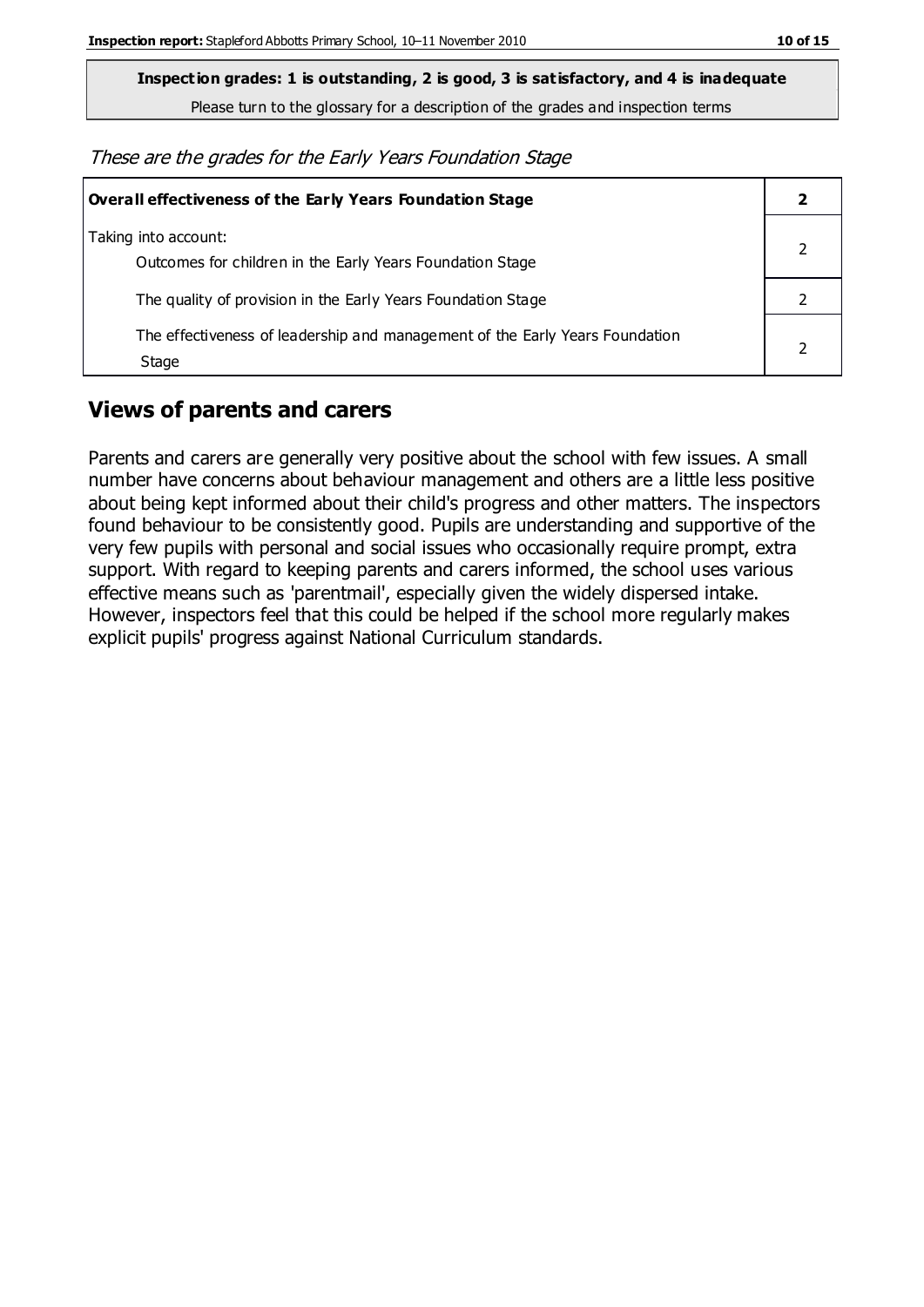Please turn to the glossary for a description of the grades and inspection terms

These are the grades for the Early Years Foundation Stage

| Overall effectiveness of the Early Years Foundation Stage                             |  |
|---------------------------------------------------------------------------------------|--|
| Taking into account:<br>Outcomes for children in the Early Years Foundation Stage     |  |
| The quality of provision in the Early Years Foundation Stage                          |  |
| The effectiveness of leadership and management of the Early Years Foundation<br>Stage |  |

#### **Views of parents and carers**

Parents and carers are generally very positive about the school with few issues. A small number have concerns about behaviour management and others are a little less positive about being kept informed about their child's progress and other matters. The inspectors found behaviour to be consistently good. Pupils are understanding and supportive of the very few pupils with personal and social issues who occasionally require prompt, extra support. With regard to keeping parents and carers informed, the school uses various effective means such as 'parentmail', especially given the widely dispersed intake. However, inspectors feel that this could be helped if the school more regularly makes explicit pupils' progress against National Curriculum standards.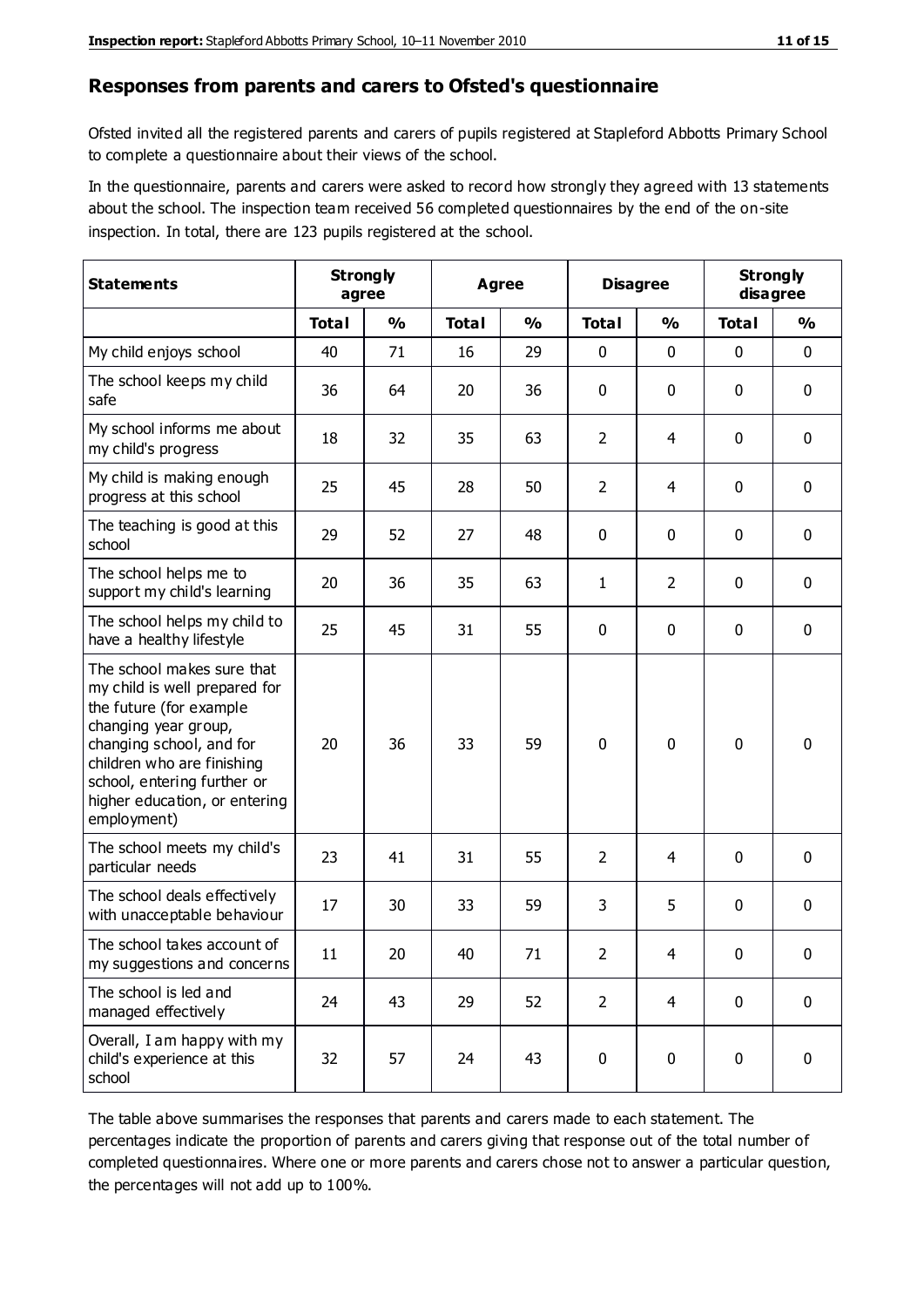#### **Responses from parents and carers to Ofsted's questionnaire**

Ofsted invited all the registered parents and carers of pupils registered at Stapleford Abbotts Primary School to complete a questionnaire about their views of the school.

In the questionnaire, parents and carers were asked to record how strongly they agreed with 13 statements about the school. The inspection team received 56 completed questionnaires by the end of the on-site inspection. In total, there are 123 pupils registered at the school.

| <b>Statements</b>                                                                                                                                                                                                                                       | <b>Strongly</b><br>agree |               | Agree        |               | <b>Disagree</b> |                | <b>Strongly</b><br>disagree |               |
|---------------------------------------------------------------------------------------------------------------------------------------------------------------------------------------------------------------------------------------------------------|--------------------------|---------------|--------------|---------------|-----------------|----------------|-----------------------------|---------------|
|                                                                                                                                                                                                                                                         | <b>Total</b>             | $\frac{0}{0}$ | <b>Total</b> | $\frac{0}{0}$ | <b>Total</b>    | $\frac{0}{0}$  | <b>Total</b>                | $\frac{1}{2}$ |
| My child enjoys school                                                                                                                                                                                                                                  | 40                       | 71            | 16           | 29            | 0               | 0              | $\mathbf 0$                 | $\mathbf 0$   |
| The school keeps my child<br>safe                                                                                                                                                                                                                       | 36                       | 64            | 20           | 36            | 0               | 0              | $\mathbf 0$                 | $\mathbf 0$   |
| My school informs me about<br>my child's progress                                                                                                                                                                                                       | 18                       | 32            | 35           | 63            | $\overline{2}$  | 4              | $\mathbf 0$                 | $\mathbf 0$   |
| My child is making enough<br>progress at this school                                                                                                                                                                                                    | 25                       | 45            | 28           | 50            | $\overline{2}$  | $\overline{4}$ | $\mathbf 0$                 | $\mathbf 0$   |
| The teaching is good at this<br>school                                                                                                                                                                                                                  | 29                       | 52            | 27           | 48            | 0               | 0              | $\mathbf 0$                 | $\mathbf 0$   |
| The school helps me to<br>support my child's learning                                                                                                                                                                                                   | 20                       | 36            | 35           | 63            | $\mathbf{1}$    | $\overline{2}$ | $\mathbf 0$                 | $\mathbf 0$   |
| The school helps my child to<br>have a healthy lifestyle                                                                                                                                                                                                | 25                       | 45            | 31           | 55            | 0               | $\mathbf 0$    | $\mathbf 0$                 | $\mathbf 0$   |
| The school makes sure that<br>my child is well prepared for<br>the future (for example<br>changing year group,<br>changing school, and for<br>children who are finishing<br>school, entering further or<br>higher education, or entering<br>employment) | 20                       | 36            | 33           | 59            | $\mathbf 0$     | $\mathbf{0}$   | $\mathbf 0$                 | $\mathbf 0$   |
| The school meets my child's<br>particular needs                                                                                                                                                                                                         | 23                       | 41            | 31           | 55            | $\overline{2}$  | 4              | $\mathbf 0$                 | $\mathbf 0$   |
| The school deals effectively<br>with unacceptable behaviour                                                                                                                                                                                             | 17                       | 30            | 33           | 59            | 3               | 5              | 0                           | $\mathbf 0$   |
| The school takes account of<br>my suggestions and concerns                                                                                                                                                                                              | 11                       | 20            | 40           | 71            | $\overline{2}$  | 4              | 0                           | 0             |
| The school is led and<br>managed effectively                                                                                                                                                                                                            | 24                       | 43            | 29           | 52            | $\overline{2}$  | $\overline{4}$ | $\mathbf 0$                 | $\mathbf 0$   |
| Overall, I am happy with my<br>child's experience at this<br>school                                                                                                                                                                                     | 32                       | 57            | 24           | 43            | $\pmb{0}$       | $\pmb{0}$      | $\mathbf 0$                 | $\mathbf 0$   |

The table above summarises the responses that parents and carers made to each statement. The percentages indicate the proportion of parents and carers giving that response out of the total number of completed questionnaires. Where one or more parents and carers chose not to answer a particular question, the percentages will not add up to 100%.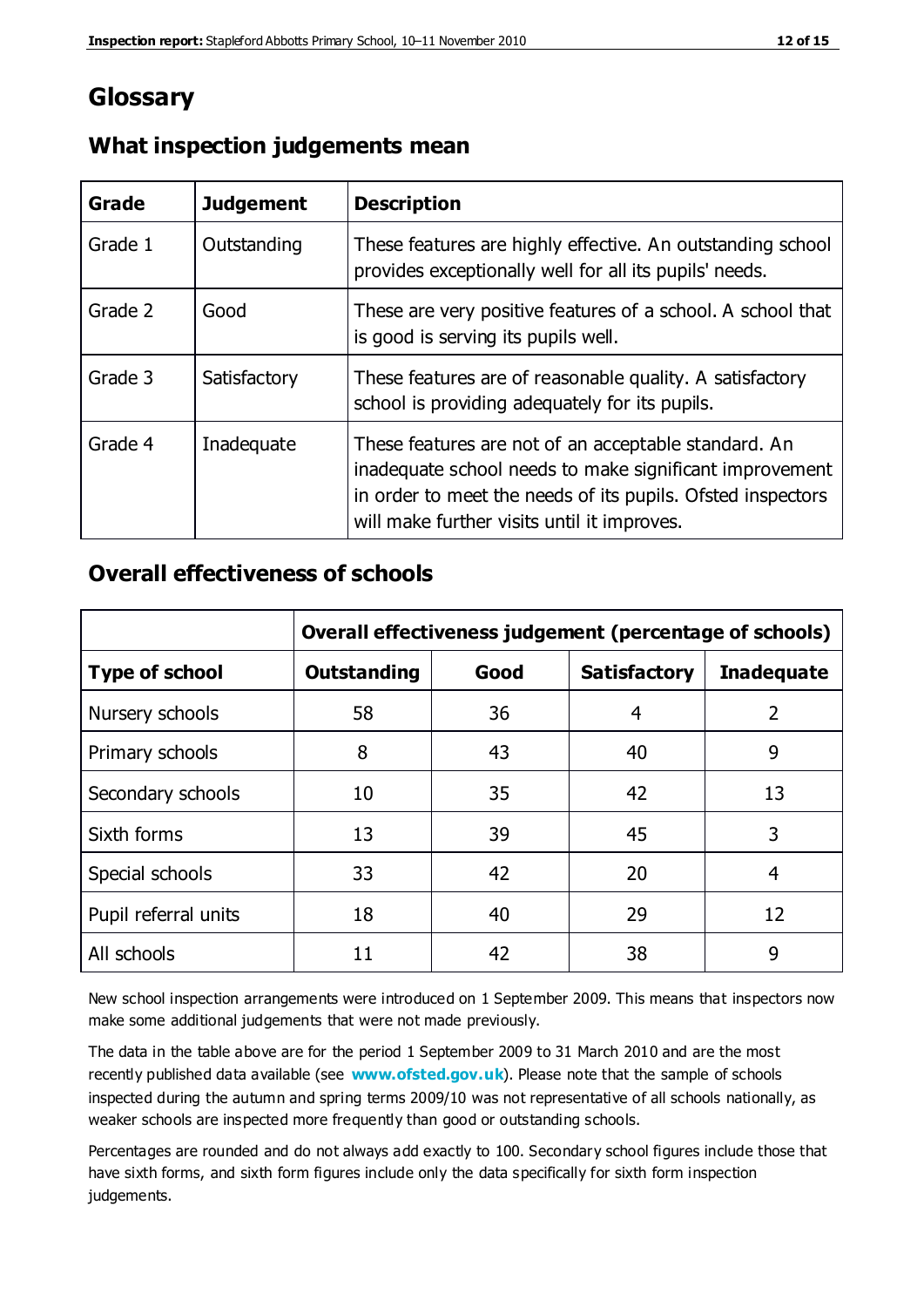# **Glossary**

| Grade   | <b>Judgement</b> | <b>Description</b>                                                                                                                                                                                                            |
|---------|------------------|-------------------------------------------------------------------------------------------------------------------------------------------------------------------------------------------------------------------------------|
| Grade 1 | Outstanding      | These features are highly effective. An outstanding school<br>provides exceptionally well for all its pupils' needs.                                                                                                          |
| Grade 2 | Good             | These are very positive features of a school. A school that<br>is good is serving its pupils well.                                                                                                                            |
| Grade 3 | Satisfactory     | These features are of reasonable quality. A satisfactory<br>school is providing adequately for its pupils.                                                                                                                    |
| Grade 4 | Inadequate       | These features are not of an acceptable standard. An<br>inadequate school needs to make significant improvement<br>in order to meet the needs of its pupils. Ofsted inspectors<br>will make further visits until it improves. |

#### **What inspection judgements mean**

#### **Overall effectiveness of schools**

|                       | Overall effectiveness judgement (percentage of schools) |      |                     |                   |
|-----------------------|---------------------------------------------------------|------|---------------------|-------------------|
| <b>Type of school</b> | <b>Outstanding</b>                                      | Good | <b>Satisfactory</b> | <b>Inadequate</b> |
| Nursery schools       | 58                                                      | 36   | 4                   | 2                 |
| Primary schools       | 8                                                       | 43   | 40                  | 9                 |
| Secondary schools     | 10                                                      | 35   | 42                  | 13                |
| Sixth forms           | 13                                                      | 39   | 45                  | 3                 |
| Special schools       | 33                                                      | 42   | 20                  | 4                 |
| Pupil referral units  | 18                                                      | 40   | 29                  | 12                |
| All schools           | 11                                                      | 42   | 38                  | 9                 |

New school inspection arrangements were introduced on 1 September 2009. This means that inspectors now make some additional judgements that were not made previously.

The data in the table above are for the period 1 September 2009 to 31 March 2010 and are the most recently published data available (see **[www.ofsted.gov.uk](http://www.ofsted.gov.uk/)**). Please note that the sample of schools inspected during the autumn and spring terms 2009/10 was not representative of all schools nationally, as weaker schools are inspected more frequently than good or outstanding schools.

Percentages are rounded and do not always add exactly to 100. Secondary school figures include those that have sixth forms, and sixth form figures include only the data specifically for sixth form inspection judgements.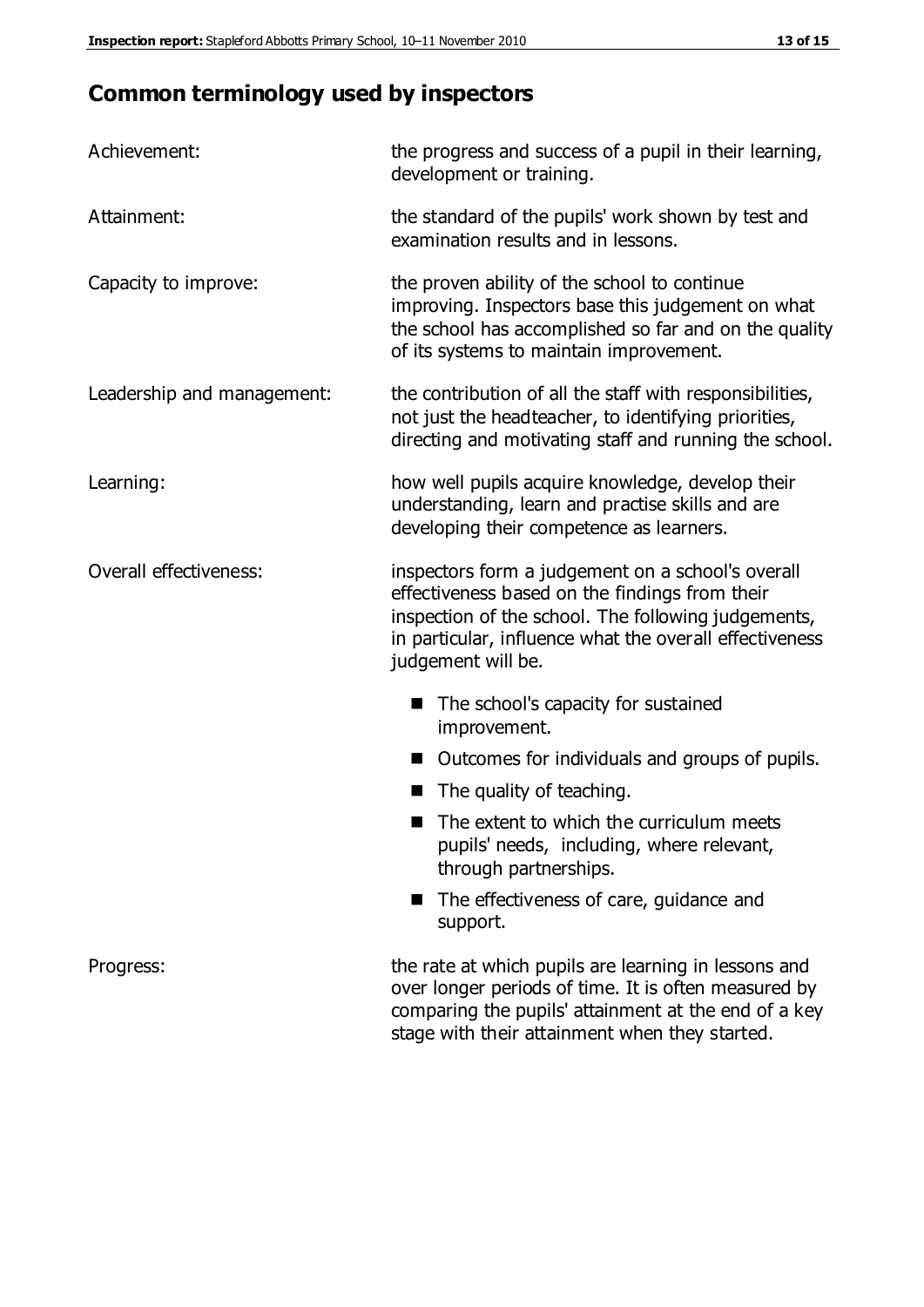# **Common terminology used by inspectors**

| Achievement:               | the progress and success of a pupil in their learning,<br>development or training.                                                                                                                                                          |  |
|----------------------------|---------------------------------------------------------------------------------------------------------------------------------------------------------------------------------------------------------------------------------------------|--|
| Attainment:                | the standard of the pupils' work shown by test and<br>examination results and in lessons.                                                                                                                                                   |  |
| Capacity to improve:       | the proven ability of the school to continue<br>improving. Inspectors base this judgement on what<br>the school has accomplished so far and on the quality<br>of its systems to maintain improvement.                                       |  |
| Leadership and management: | the contribution of all the staff with responsibilities,<br>not just the headteacher, to identifying priorities,<br>directing and motivating staff and running the school.                                                                  |  |
| Learning:                  | how well pupils acquire knowledge, develop their<br>understanding, learn and practise skills and are<br>developing their competence as learners.                                                                                            |  |
| Overall effectiveness:     | inspectors form a judgement on a school's overall<br>effectiveness based on the findings from their<br>inspection of the school. The following judgements,<br>in particular, influence what the overall effectiveness<br>judgement will be. |  |
|                            | The school's capacity for sustained<br>improvement.                                                                                                                                                                                         |  |
|                            | Outcomes for individuals and groups of pupils.                                                                                                                                                                                              |  |
|                            | The quality of teaching.                                                                                                                                                                                                                    |  |
|                            | The extent to which the curriculum meets<br>pupils' needs, including, where relevant,<br>through partnerships.                                                                                                                              |  |
|                            | The effectiveness of care, guidance and<br>support.                                                                                                                                                                                         |  |
| Progress:                  | the rate at which pupils are learning in lessons and<br>over longer periods of time. It is often measured by<br>comparing the pupils' attainment at the end of a key                                                                        |  |

stage with their attainment when they started.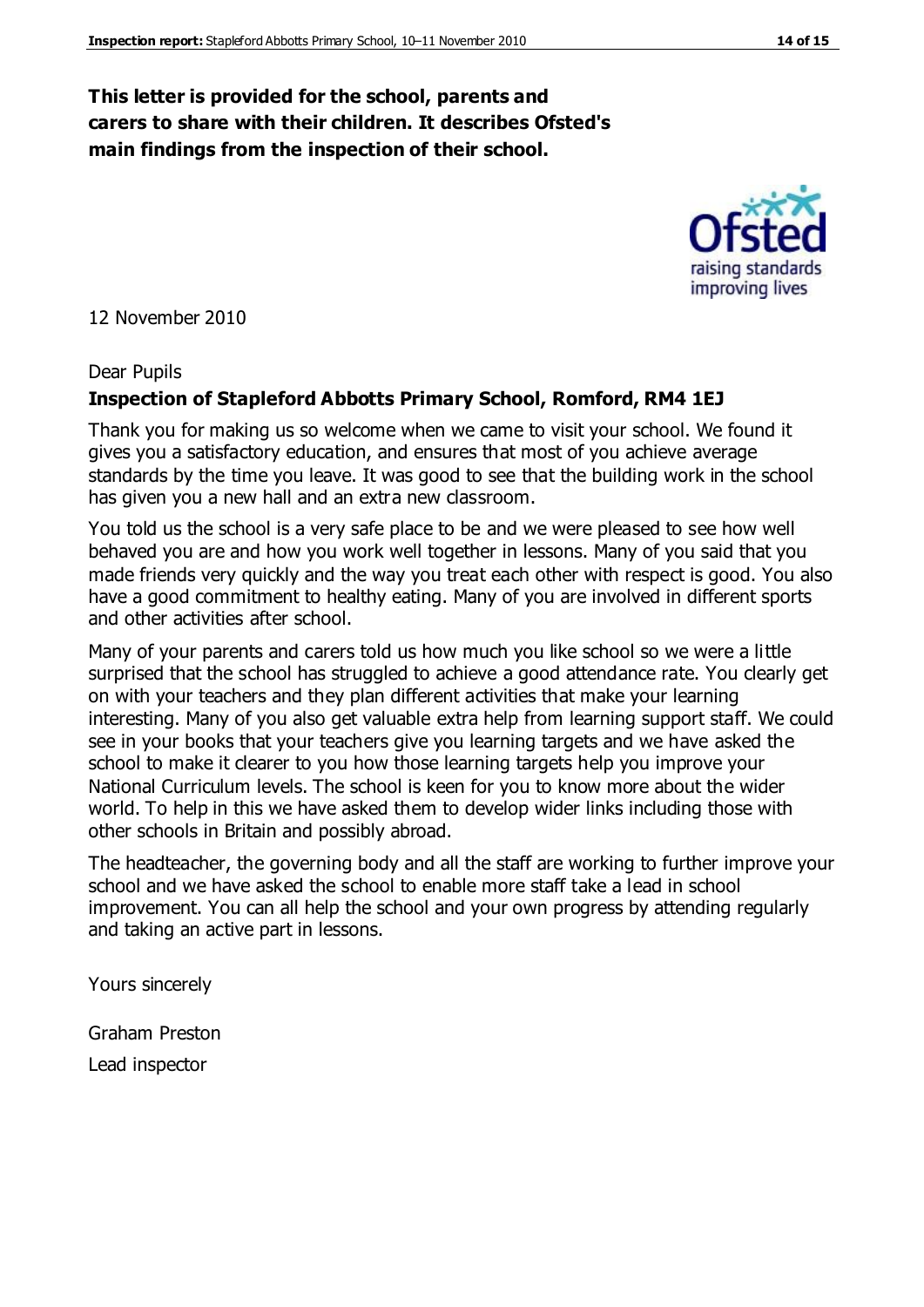#### **This letter is provided for the school, parents and carers to share with their children. It describes Ofsted's main findings from the inspection of their school.**

12 November 2010

#### Dear Pupils

#### **Inspection of Stapleford Abbotts Primary School, Romford, RM4 1EJ**

Thank you for making us so welcome when we came to visit your school. We found it gives you a satisfactory education, and ensures that most of you achieve average standards by the time you leave. It was good to see that the building work in the school has given you a new hall and an extra new classroom.

You told us the school is a very safe place to be and we were pleased to see how well behaved you are and how you work well together in lessons. Many of you said that you made friends very quickly and the way you treat each other with respect is good. You also have a good commitment to healthy eating. Many of you are involved in different sports and other activities after school.

Many of your parents and carers told us how much you like school so we were a little surprised that the school has struggled to achieve a good attendance rate. You clearly get on with your teachers and they plan different activities that make your learning interesting. Many of you also get valuable extra help from learning support staff. We could see in your books that your teachers give you learning targets and we have asked the school to make it clearer to you how those learning targets help you improve your National Curriculum levels. The school is keen for you to know more about the wider world. To help in this we have asked them to develop wider links including those with other schools in Britain and possibly abroad.

The headteacher, the governing body and all the staff are working to further improve your school and we have asked the school to enable more staff take a lead in school improvement. You can all help the school and your own progress by attending regularly and taking an active part in lessons.

Yours sincerely

Graham Preston Lead inspector